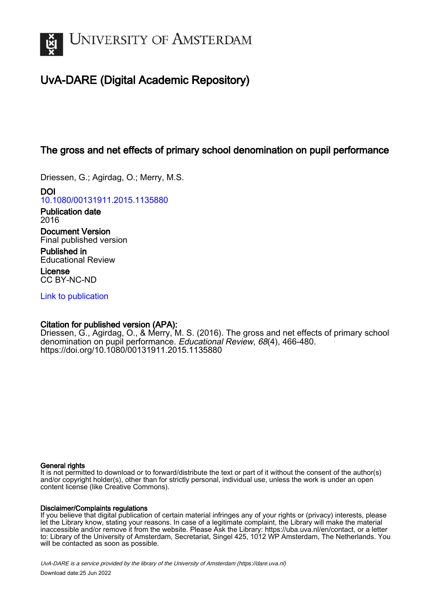

# UvA-DARE (Digital Academic Repository)

## The gross and net effects of primary school denomination on pupil performance

Driessen, G.; Agirdag, O.; Merry, M.S.

DOI [10.1080/00131911.2015.1135880](https://doi.org/10.1080/00131911.2015.1135880)

Publication date 2016

Document Version Final published version

Published in Educational Review

License CC BY-NC-ND

[Link to publication](https://dare.uva.nl/personal/pure/en/publications/the-gross-and-net-effects-of-primary-school-denomination-on-pupil-performance(acefc291-7ec3-4b91-8f0c-4e5e021643ff).html)

## Citation for published version (APA):

Driessen, G., Agirdag, O., & Merry, M. S. (2016). The gross and net effects of primary school denomination on pupil performance. Educational Review, 68(4), 466-480. <https://doi.org/10.1080/00131911.2015.1135880>

#### General rights

It is not permitted to download or to forward/distribute the text or part of it without the consent of the author(s) and/or copyright holder(s), other than for strictly personal, individual use, unless the work is under an open content license (like Creative Commons).

### Disclaimer/Complaints regulations

If you believe that digital publication of certain material infringes any of your rights or (privacy) interests, please let the Library know, stating your reasons. In case of a legitimate complaint, the Library will make the material inaccessible and/or remove it from the website. Please Ask the Library: https://uba.uva.nl/en/contact, or a letter to: Library of the University of Amsterdam, Secretariat, Singel 425, 1012 WP Amsterdam, The Netherlands. You will be contacted as soon as possible.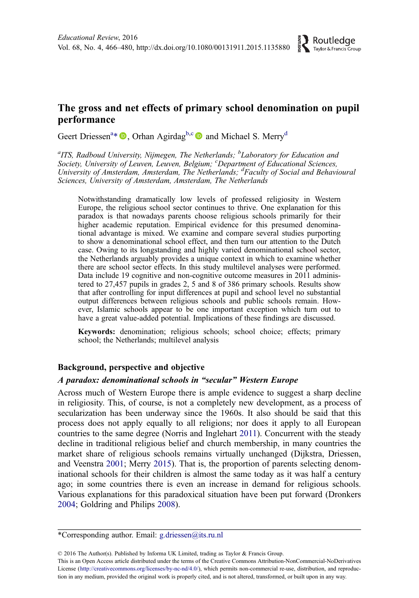## The gross and net effects of primary school denomination on pupil performance

Routledge Taylor & Francis Group

Geert Driessen<sup>a\*</sup> <sup>1</sup>[,](http://orcid.org/0000-0002-1248-6373) Orhan Agirdag<sup>b,c</sup> and Michael S. Merry<sup>d</sup>

<sup>a</sup>ITS, Radboud University, Nijmegen, The Netherlands;  ${}^{b}$ Laboratory for Education and Society, University of Leuven, Leuven, Belgium; <sup>c</sup>Department of Educational Sciences, University of Amsterdam, Amsterdam, The Netherlands; <sup>d</sup>Faculty of Social and Behavioural Sciences, University of Amsterdam, Amsterdam, The Netherlands

Notwithstanding dramatically low levels of professed religiosity in Western Europe, the religious school sector continues to thrive. One explanation for this paradox is that nowadays parents choose religious schools primarily for their higher academic reputation. Empirical evidence for this presumed denominational advantage is mixed. We examine and compare several studies purporting to show a denominational school effect, and then turn our attention to the Dutch case. Owing to its longstanding and highly varied denominational school sector, the Netherlands arguably provides a unique context in which to examine whether there are school sector effects. In this study multilevel analyses were performed. Data include 19 cognitive and non-cognitive outcome measures in 2011 administered to 27,457 pupils in grades 2, 5 and 8 of 386 primary schools. Results show that after controlling for input differences at pupil and school level no substantial output differences between religious schools and public schools remain. However, Islamic schools appear to be one important exception which turn out to have a great value-added potential. Implications of these findings are discussed.

Keywords: denomination; religious schools; school choice; effects; primary school; the Netherlands; multilevel analysis

#### Background, perspective and objective

#### A paradox: denominational schools in "secular" Western Europe

Across much of Western Europe there is ample evidence to suggest a sharp decline in religiosity. This, of course, is not a completely new development, as a process of secularization has been underway since the 1960s. It also should be said that this process does not apply equally to all religions; nor does it apply to all European countries to the same degree (Norris and Inglehart [2011\)](#page-15-0). Concurrent with the steady decline in traditional religious belief and church membership, in many countries the market share of religious schools remains virtually unchanged (Dijkstra, Driessen, and Veenstra [2001;](#page-14-0) Merry [2015\)](#page-15-0). That is, the proportion of parents selecting denominational schools for their children is almost the same today as it was half a century ago; in some countries there is even an increase in demand for religious schools. Various explanations for this paradoxical situation have been put forward (Dronkers [2004;](#page-15-0) Goldring and Philips [2008](#page-15-0)).

© 2016 The Author(s). Published by Informa UK Limited, trading as Taylor & Francis Group.

This is an Open Access article distributed under the terms of the Creative Commons Attribution-NonCommercial-NoDerivatives License ([http://creativecommons.org/licenses/by-nc-nd/4.0/\)](http://creativecommons.org/licenses/by-nc-nd/4.0/), which permits non-commercial re-use, distribution, and reproduction in any medium, provided the original work is properly cited, and is not altered, transformed, or built upon in any way.

<sup>\*</sup>Corresponding author. Email: [g.driessen@its.ru.nl](mailto:g.driessen@its.ru.nl)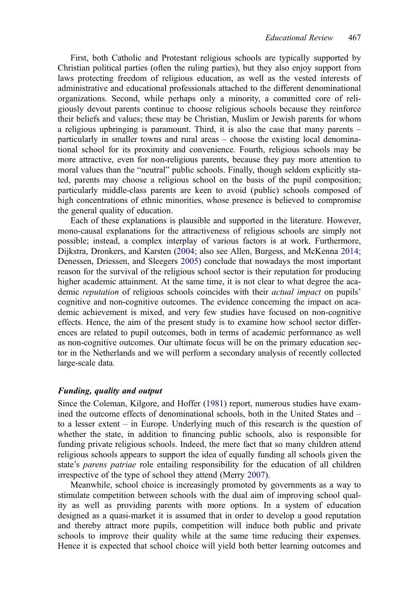First, both Catholic and Protestant religious schools are typically supported by Christian political parties (often the ruling parties), but they also enjoy support from laws protecting freedom of religious education, as well as the vested interests of administrative and educational professionals attached to the different denominational organizations. Second, while perhaps only a minority, a committed core of religiously devout parents continue to choose religious schools because they reinforce their beliefs and values; these may be Christian, Muslim or Jewish parents for whom a religious upbringing is paramount. Third, it is also the case that many parents – particularly in smaller towns and rural areas – choose the existing local denominational school for its proximity and convenience. Fourth, religious schools may be more attractive, even for non-religious parents, because they pay more attention to moral values than the "neutral" public schools. Finally, though seldom explicitly stated, parents may choose a religious school on the basis of the pupil composition; particularly middle-class parents are keen to avoid (public) schools composed of high concentrations of ethnic minorities, whose presence is believed to compromise the general quality of education.

Each of these explanations is plausible and supported in the literature. However, mono-causal explanations for the attractiveness of religious schools are simply not possible; instead, a complex interplay of various factors is at work. Furthermore, Dijkstra, Dronkers, and Karsten [\(2004](#page-14-0); also see Allen, Burgess, and McKenna [2014](#page-14-0); Denessen, Driessen, and Sleegers [2005\)](#page-14-0) conclude that nowadays the most important reason for the survival of the religious school sector is their reputation for producing higher academic attainment. At the same time, it is not clear to what degree the academic *reputation* of religious schools coincides with their *actual impact* on pupils' cognitive and non-cognitive outcomes. The evidence concerning the impact on academic achievement is mixed, and very few studies have focused on non-cognitive effects. Hence, the aim of the present study is to examine how school sector differences are related to pupil outcomes, both in terms of academic performance as well as non-cognitive outcomes. Our ultimate focus will be on the primary education sector in the Netherlands and we will perform a secondary analysis of recently collected large-scale data.

#### Funding, quality and output

Since the Coleman, Kilgore, and Hoffer ([1981\)](#page-14-0) report, numerous studies have examined the outcome effects of denominational schools, both in the United States and – to a lesser extent – in Europe. Underlying much of this research is the question of whether the state, in addition to financing public schools, also is responsible for funding private religious schools. Indeed, the mere fact that so many children attend religious schools appears to support the idea of equally funding all schools given the state's *parens patriae* role entailing responsibility for the education of all children irrespective of the type of school they attend (Merry [2007](#page-15-0)).

Meanwhile, school choice is increasingly promoted by governments as a way to stimulate competition between schools with the dual aim of improving school quality as well as providing parents with more options. In a system of education designed as a quasi-market it is assumed that in order to develop a good reputation and thereby attract more pupils, competition will induce both public and private schools to improve their quality while at the same time reducing their expenses. Hence it is expected that school choice will yield both better learning outcomes and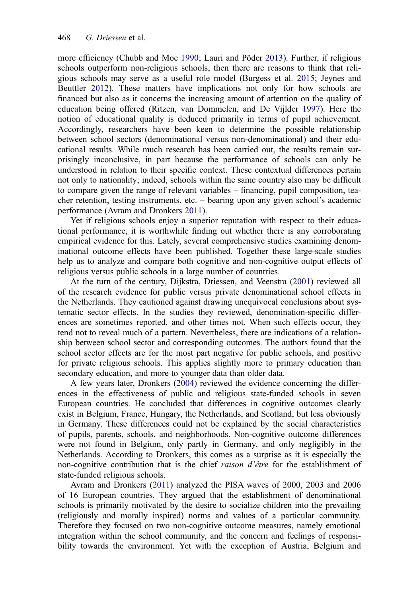more efficiency (Chubb and Moe [1990](#page-14-0); Lauri and Pöder [2013](#page-15-0)). Further, if religious schools outperform non-religious schools, then there are reasons to think that religious schools may serve as a useful role model (Burgess et al. [2015;](#page-14-0) Jeynes and Beuttler [2012](#page-15-0)). These matters have implications not only for how schools are financed but also as it concerns the increasing amount of attention on the quality of education being offered (Ritzen, van Dommelen, and De Vijlder [1997](#page-15-0)). Here the notion of educational quality is deduced primarily in terms of pupil achievement. Accordingly, researchers have been keen to determine the possible relationship between school sectors (denominational versus non-denominational) and their educational results. While much research has been carried out, the results remain surprisingly inconclusive, in part because the performance of schools can only be understood in relation to their specific context. These contextual differences pertain not only to nationality; indeed, schools within the same country also may be difficult to compare given the range of relevant variables – financing, pupil composition, teacher retention, testing instruments, etc. – bearing upon any given school's academic performance (Avram and Dronkers [2011](#page-14-0)).

Yet if religious schools enjoy a superior reputation with respect to their educational performance, it is worthwhile finding out whether there is any corroborating empirical evidence for this. Lately, several comprehensive studies examining denominational outcome effects have been published. Together these large-scale studies help us to analyze and compare both cognitive and non-cognitive output effects of religious versus public schools in a large number of countries.

At the turn of the century, Dijkstra, Driessen, and Veenstra ([2001\)](#page-14-0) reviewed all of the research evidence for public versus private denominational school effects in the Netherlands. They cautioned against drawing unequivocal conclusions about systematic sector effects. In the studies they reviewed, denomination-specific differences are sometimes reported, and other times not. When such effects occur, they tend not to reveal much of a pattern. Nevertheless, there are indications of a relationship between school sector and corresponding outcomes. The authors found that the school sector effects are for the most part negative for public schools, and positive for private religious schools. This applies slightly more to primary education than secondary education, and more to younger data than older data.

A few years later, Dronkers ([2004\)](#page-15-0) reviewed the evidence concerning the differences in the effectiveness of public and religious state-funded schools in seven European countries. He concluded that differences in cognitive outcomes clearly exist in Belgium, France, Hungary, the Netherlands, and Scotland, but less obviously in Germany. These differences could not be explained by the social characteristics of pupils, parents, schools, and neighborhoods. Non-cognitive outcome differences were not found in Belgium, only partly in Germany, and only negligibly in the Netherlands. According to Dronkers, this comes as a surprise as it is especially the non-cognitive contribution that is the chief *raison d'être* for the establishment of state-funded religious schools.

Avram and Dronkers ([2011](#page-14-0)) analyzed the PISA waves of 2000, 2003 and 2006 of 16 European countries. They argued that the establishment of denominational schools is primarily motivated by the desire to socialize children into the prevailing (religiously and morally inspired) norms and values of a particular community. Therefore they focused on two non-cognitive outcome measures, namely emotional integration within the school community, and the concern and feelings of responsibility towards the environment. Yet with the exception of Austria, Belgium and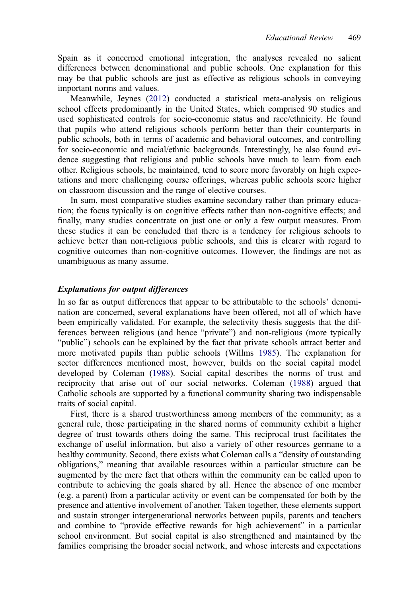Spain as it concerned emotional integration, the analyses revealed no salient differences between denominational and public schools. One explanation for this may be that public schools are just as effective as religious schools in conveying important norms and values.

Meanwhile, Jeynes [\(2012](#page-15-0)) conducted a statistical meta-analysis on religious school effects predominantly in the United States, which comprised 90 studies and used sophisticated controls for socio-economic status and race/ethnicity. He found that pupils who attend religious schools perform better than their counterparts in public schools, both in terms of academic and behavioral outcomes, and controlling for socio-economic and racial/ethnic backgrounds. Interestingly, he also found evidence suggesting that religious and public schools have much to learn from each other. Religious schools, he maintained, tend to score more favorably on high expectations and more challenging course offerings, whereas public schools score higher on classroom discussion and the range of elective courses.

In sum, most comparative studies examine secondary rather than primary education; the focus typically is on cognitive effects rather than non-cognitive effects; and finally, many studies concentrate on just one or only a few output measures. From these studies it can be concluded that there is a tendency for religious schools to achieve better than non-religious public schools, and this is clearer with regard to cognitive outcomes than non-cognitive outcomes. However, the findings are not as unambiguous as many assume.

#### Explanations for output differences

In so far as output differences that appear to be attributable to the schools' denomination are concerned, several explanations have been offered, not all of which have been empirically validated. For example, the selectivity thesis suggests that the differences between religious (and hence "private") and non-religious (more typically "public") schools can be explained by the fact that private schools attract better and more motivated pupils than public schools (Willms [1985](#page-15-0)). The explanation for sector differences mentioned most, however, builds on the social capital model developed by Coleman [\(1988](#page-14-0)). Social capital describes the norms of trust and reciprocity that arise out of our social networks. Coleman ([1988\)](#page-14-0) argued that Catholic schools are supported by a functional community sharing two indispensable traits of social capital.

First, there is a shared trustworthiness among members of the community; as a general rule, those participating in the shared norms of community exhibit a higher degree of trust towards others doing the same. This reciprocal trust facilitates the exchange of useful information, but also a variety of other resources germane to a healthy community. Second, there exists what Coleman calls a "density of outstanding obligations," meaning that available resources within a particular structure can be augmented by the mere fact that others within the community can be called upon to contribute to achieving the goals shared by all. Hence the absence of one member (e.g. a parent) from a particular activity or event can be compensated for both by the presence and attentive involvement of another. Taken together, these elements support and sustain stronger intergenerational networks between pupils, parents and teachers and combine to "provide effective rewards for high achievement" in a particular school environment. But social capital is also strengthened and maintained by the families comprising the broader social network, and whose interests and expectations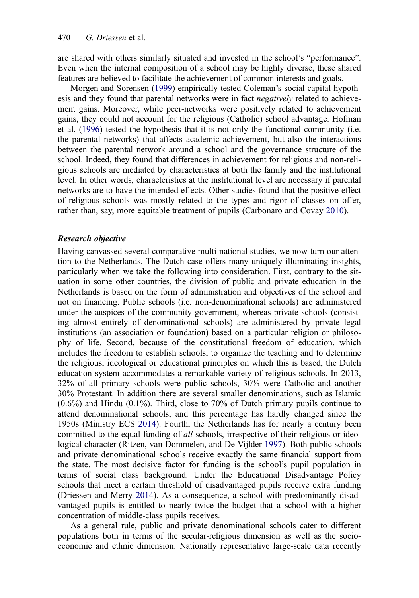are shared with others similarly situated and invested in the school's "performance". Even when the internal composition of a school may be highly diverse, these shared features are believed to facilitate the achievement of common interests and goals.

Morgen and Sorensen [\(1999\)](#page-15-0) empirically tested Coleman's social capital hypothesis and they found that parental networks were in fact negatively related to achievement gains. Moreover, while peer-networks were positively related to achievement gains, they could not account for the religious (Catholic) school advantage. Hofman et al. [\(1996](#page-15-0)) tested the hypothesis that it is not only the functional community (i.e. the parental networks) that affects academic achievement, but also the interactions between the parental network around a school and the governance structure of the school. Indeed, they found that differences in achievement for religious and non-religious schools are mediated by characteristics at both the family and the institutional level. In other words, characteristics at the institutional level are necessary if parental networks are to have the intended effects. Other studies found that the positive effect of religious schools was mostly related to the types and rigor of classes on offer, rather than, say, more equitable treatment of pupils (Carbonaro and Covay [2010\)](#page-14-0).

#### Research objective

Having canvassed several comparative multi-national studies, we now turn our attention to the Netherlands. The Dutch case offers many uniquely illuminating insights, particularly when we take the following into consideration. First, contrary to the situation in some other countries, the division of public and private education in the Netherlands is based on the form of administration and objectives of the school and not on financing. Public schools (i.e. non-denominational schools) are administered under the auspices of the community government, whereas private schools (consisting almost entirely of denominational schools) are administered by private legal institutions (an association or foundation) based on a particular religion or philosophy of life. Second, because of the constitutional freedom of education, which includes the freedom to establish schools, to organize the teaching and to determine the religious, ideological or educational principles on which this is based, the Dutch education system accommodates a remarkable variety of religious schools. In 2013, 32% of all primary schools were public schools, 30% were Catholic and another 30% Protestant. In addition there are several smaller denominations, such as Islamic  $(0.6\%)$  and Hindu  $(0.1\%)$ . Third, close to 70% of Dutch primary pupils continue to attend denominational schools, and this percentage has hardly changed since the 1950s (Ministry ECS [2014\)](#page-15-0). Fourth, the Netherlands has for nearly a century been committed to the equal funding of *all* schools, irrespective of their religious or ideological character (Ritzen, van Dommelen, and De Vijlder [1997](#page-15-0)). Both public schools and private denominational schools receive exactly the same financial support from the state. The most decisive factor for funding is the school's pupil population in terms of social class background. Under the Educational Disadvantage Policy schools that meet a certain threshold of disadvantaged pupils receive extra funding (Driessen and Merry [2014\)](#page-15-0). As a consequence, a school with predominantly disadvantaged pupils is entitled to nearly twice the budget that a school with a higher concentration of middle-class pupils receives.

As a general rule, public and private denominational schools cater to different populations both in terms of the secular-religious dimension as well as the socioeconomic and ethnic dimension. Nationally representative large-scale data recently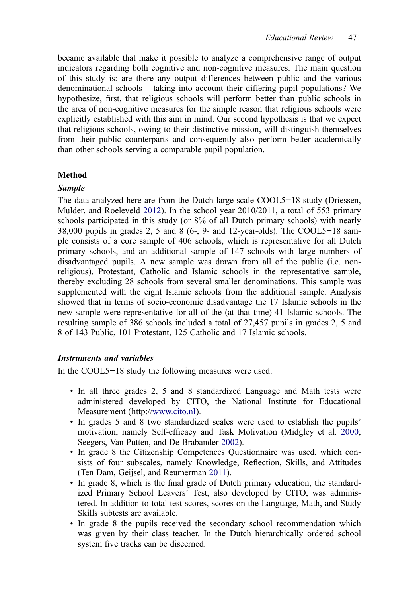became available that make it possible to analyze a comprehensive range of output indicators regarding both cognitive and non-cognitive measures. The main question of this study is: are there any output differences between public and the various denominational schools – taking into account their differing pupil populations? We hypothesize, first, that religious schools will perform better than public schools in the area of non-cognitive measures for the simple reason that religious schools were explicitly established with this aim in mind. Our second hypothesis is that we expect that religious schools, owing to their distinctive mission, will distinguish themselves from their public counterparts and consequently also perform better academically than other schools serving a comparable pupil population.

#### Method

#### Sample

The data analyzed here are from the Dutch large-scale COOL5−18 study (Driessen, Mulder, and Roeleveld [2012\)](#page-15-0). In the school year 2010/2011, a total of 553 primary schools participated in this study (or 8% of all Dutch primary schools) with nearly 38,000 pupils in grades 2, 5 and 8 (6-, 9- and 12-year-olds). The COOL5−18 sample consists of a core sample of 406 schools, which is representative for all Dutch primary schools, and an additional sample of 147 schools with large numbers of disadvantaged pupils. A new sample was drawn from all of the public (i.e. nonreligious), Protestant, Catholic and Islamic schools in the representative sample, thereby excluding 28 schools from several smaller denominations. This sample was supplemented with the eight Islamic schools from the additional sample. Analysis showed that in terms of socio-economic disadvantage the 17 Islamic schools in the new sample were representative for all of the (at that time) 41 Islamic schools. The resulting sample of 386 schools included a total of 27,457 pupils in grades 2, 5 and 8 of 143 Public, 101 Protestant, 125 Catholic and 17 Islamic schools.

#### Instruments and variables

In the COOL5−18 study the following measures were used:

- In all three grades 2, 5 and 8 standardized Language and Math tests were administered developed by CITO, the National Institute for Educational Measurement (http://[www.cito.nl](http://www.cito.nl)).
- In grades 5 and 8 two standardized scales were used to establish the pupils' motivation, namely Self-efficacy and Task Motivation (Midgley et al. [2000](#page-15-0); Seegers, Van Putten, and De Brabander [2002](#page-15-0)).
- In grade 8 the Citizenship Competences Questionnaire was used, which consists of four subscales, namely Knowledge, Reflection, Skills, and Attitudes (Ten Dam, Geijsel, and Reumerman [2011\)](#page-15-0).
- In grade 8, which is the final grade of Dutch primary education, the standardized Primary School Leavers' Test, also developed by CITO, was administered. In addition to total test scores, scores on the Language, Math, and Study Skills subtests are available.
- In grade 8 the pupils received the secondary school recommendation which was given by their class teacher. In the Dutch hierarchically ordered school system five tracks can be discerned.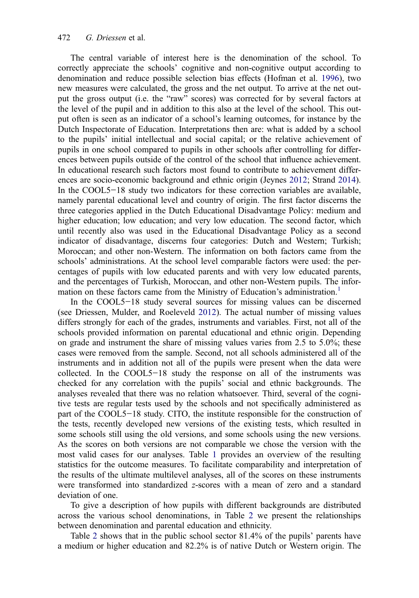The central variable of interest here is the denomination of the school. To correctly appreciate the schools' cognitive and non-cognitive output according to denomination and reduce possible selection bias effects (Hofman et al. [1996](#page-15-0)), two new measures were calculated, the gross and the net output. To arrive at the net output the gross output (i.e. the "raw" scores) was corrected for by several factors at the level of the pupil and in addition to this also at the level of the school. This output often is seen as an indicator of a school's learning outcomes, for instance by the Dutch Inspectorate of Education. Interpretations then are: what is added by a school to the pupils' initial intellectual and social capital; or the relative achievement of pupils in one school compared to pupils in other schools after controlling for differences between pupils outside of the control of the school that influence achievement. In educational research such factors most found to contribute to achievement differences are socio-economic background and ethnic origin (Jeynes [2012;](#page-15-0) Strand [2014](#page-15-0)). In the COOL5−18 study two indicators for these correction variables are available, namely parental educational level and country of origin. The first factor discerns the three categories applied in the Dutch Educational Disadvantage Policy: medium and higher education; low education; and very low education. The second factor, which until recently also was used in the Educational Disadvantage Policy as a second indicator of disadvantage, discerns four categories: Dutch and Western; Turkish; Moroccan; and other non-Western. The information on both factors came from the schools' administrations. At the school level comparable factors were used: the percentages of pupils with low educated parents and with very low educated parents, and the percentages of Turkish, Moroccan, and other non-Western pupils. The infor-mation on these factors came from the Ministry of Education's administration.<sup>[1](#page-14-0)</sup>

In the COOL5−18 study several sources for missing values can be discerned (see Driessen, Mulder, and Roeleveld [2012\)](#page-15-0). The actual number of missing values differs strongly for each of the grades, instruments and variables. First, not all of the schools provided information on parental educational and ethnic origin. Depending on grade and instrument the share of missing values varies from 2.5 to 5.0%; these cases were removed from the sample. Second, not all schools administered all of the instruments and in addition not all of the pupils were present when the data were collected. In the COOL5−18 study the response on all of the instruments was checked for any correlation with the pupils' social and ethnic backgrounds. The analyses revealed that there was no relation whatsoever. Third, several of the cognitive tests are regular tests used by the schools and not specifically administered as part of the COOL5−18 study. CITO, the institute responsible for the construction of the tests, recently developed new versions of the existing tests, which resulted in some schools still using the old versions, and some schools using the new versions. As the scores on both versions are not comparable we chose the version with the most valid cases for our analyses. Table [1](#page-8-0) provides an overview of the resulting statistics for the outcome measures. To facilitate comparability and interpretation of the results of the ultimate multilevel analyses, all of the scores on these instruments were transformed into standardized z-scores with a mean of zero and a standard deviation of one.

To give a description of how pupils with different backgrounds are distributed across the various school denominations, in Table [2](#page-8-0) we present the relationships between denomination and parental education and ethnicity.

Table [2](#page-8-0) shows that in the public school sector 81.4% of the pupils' parents have a medium or higher education and 82.2% is of native Dutch or Western origin. The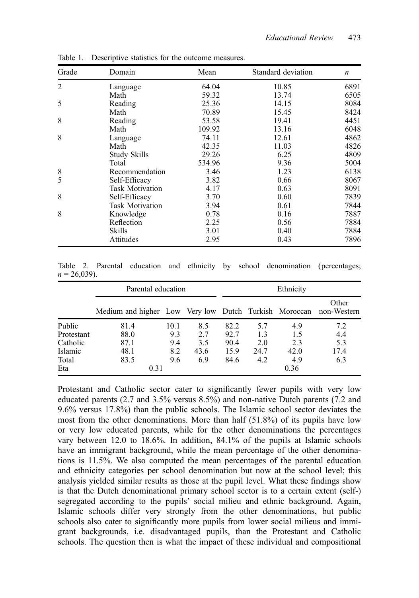| Grade | Domain                 | Mean   | Standard deviation | n    |
|-------|------------------------|--------|--------------------|------|
| 2     | Language               | 64.04  | 10.85              | 6891 |
|       | Math                   | 59.32  | 13.74              | 6505 |
| 5     | Reading                | 25.36  | 14.15              | 8084 |
|       | Math                   | 70.89  | 15.45              | 8424 |
| 8     | Reading                | 53.58  | 19.41              | 4451 |
|       | Math                   | 109.92 | 13.16              | 6048 |
| 8     | Language               | 74.11  | 12.61              | 4862 |
|       | Math                   | 42.35  | 11.03              | 4826 |
|       | Study Skills           | 29.26  | 6.25               | 4809 |
|       | Total                  | 534.96 | 9.36               | 5004 |
| 8     | Recommendation         | 3.46   | 1.23               | 6138 |
| 5     | Self-Efficacy          | 3.82   | 0.66               | 8067 |
|       | <b>Task Motivation</b> | 4.17   | 0.63               | 8091 |
| 8     | Self-Efficacy          | 3.70   | 0.60               | 7839 |
|       | <b>Task Motivation</b> | 3.94   | 0.61               | 7844 |
| 8     | Knowledge              | 0.78   | 0.16               | 7887 |
|       | Reflection             | 2.25   | 0.56               | 7884 |
|       | <b>Skills</b>          | 3.01   | 0.40               | 7884 |
|       | Attitudes              | 2.95   | 0.43               | 7896 |

<span id="page-8-0"></span>Table 1. Descriptive statistics for the outcome measures.

Table 2. Parental education and ethnicity by school denomination (percentages;  $n = 26,039$ ).

|                | Parental education                                                | Ethnicity |      |      |      |      |       |
|----------------|-------------------------------------------------------------------|-----------|------|------|------|------|-------|
|                | Medium and higher Low Very low Dutch Turkish Moroccan non-Western |           |      |      |      |      | Other |
| Public         | 81.4                                                              | 10.1      | 8.5  | 82.2 | 5.7  | 4.9  | 7.2   |
| Protestant     | 88.0                                                              | 9.3       | 2.7  | 92.7 | 1.3  | 1.5  | 4.4   |
| Catholic       | 87.1                                                              | 9.4       | 3.5  | 90.4 | 2.0  | 2.3  | 5.3   |
| <b>Islamic</b> | 48.1                                                              | 8.2       | 43.6 | 15.9 | 24.7 | 42.0 | 17.4  |
| Total          | 83.5                                                              | 9.6       | 6.9  | 84.6 | 4.2  | 4.9  | 6.3   |
| Eta            | 0.31                                                              |           |      |      |      | 0.36 |       |

Protestant and Catholic sector cater to significantly fewer pupils with very low educated parents (2.7 and 3.5% versus 8.5%) and non-native Dutch parents (7.2 and 9.6% versus 17.8%) than the public schools. The Islamic school sector deviates the most from the other denominations. More than half (51.8%) of its pupils have low or very low educated parents, while for the other denominations the percentages vary between 12.0 to 18.6%. In addition, 84.1% of the pupils at Islamic schools have an immigrant background, while the mean percentage of the other denominations is 11.5%. We also computed the mean percentages of the parental education and ethnicity categories per school denomination but now at the school level; this analysis yielded similar results as those at the pupil level. What these findings show is that the Dutch denominational primary school sector is to a certain extent (self-) segregated according to the pupils' social milieu and ethnic background. Again, Islamic schools differ very strongly from the other denominations, but public schools also cater to significantly more pupils from lower social milieus and immigrant backgrounds, i.e. disadvantaged pupils, than the Protestant and Catholic schools. The question then is what the impact of these individual and compositional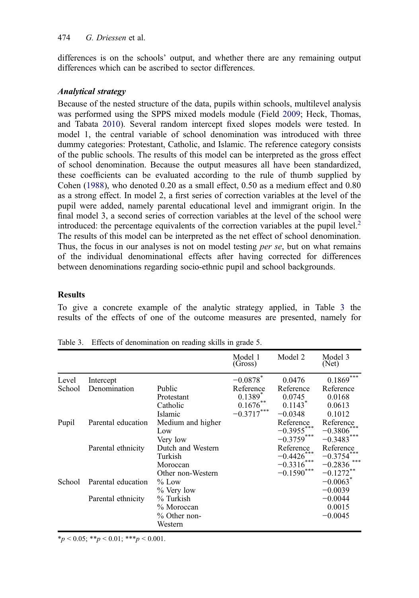differences is on the schools' output, and whether there are any remaining output differences which can be ascribed to sector differences.

#### Analytical strategy

Because of the nested structure of the data, pupils within schools, multilevel analysis was performed using the SPPS mixed models module (Field [2009;](#page-15-0) Heck, Thomas, and Tabata [2010\)](#page-15-0). Several random intercept fixed slopes models were tested. In model 1, the central variable of school denomination was introduced with three dummy categories: Protestant, Catholic, and Islamic. The reference category consists of the public schools. The results of this model can be interpreted as the gross effect of school denomination. Because the output measures all have been standardized, these coefficients can be evaluated according to the rule of thumb supplied by Cohen ([1988\)](#page-14-0), who denoted 0.20 as a small effect, 0.50 as a medium effect and 0.80 as a strong effect. In model 2, a first series of correction variables at the level of the pupil were added, namely parental educational level and immigrant origin. In the final model 3, a second series of correction variables at the level of the school were introduced: the percentage equivalents of the correction variables at the pupil level. $2$ The results of this model can be interpreted as the net effect of school denomination. Thus, the focus in our analyses is not on model testing *per se*, but on what remains of the individual denominational effects after having corrected for differences between denominations regarding socio-ethnic pupil and school backgrounds.

#### Results

To give a concrete example of the analytic strategy applied, in Table 3 the results of the effects of one of the outcome measures are presented, namely for

|                 |                           |                                                               | Model 1<br>(Gross)                                   | Model 2                                                        | Model 3<br>(Net)                                   |
|-----------------|---------------------------|---------------------------------------------------------------|------------------------------------------------------|----------------------------------------------------------------|----------------------------------------------------|
| Level<br>School | Intercept<br>Denomination | Public                                                        | $-0.0878$ <sup>*</sup><br>Reference                  | 0.0476<br>Reference                                            | $0.1869^{***}$<br>Reference                        |
|                 |                           | Protestant<br>Catholic<br>Islamic                             | $0.1389$ <sup>*</sup><br>$0.1676***$<br>$-0.3717***$ | 0.0745<br>$0.1143*$<br>$-0.0348$                               | 0.0168<br>0.0613<br>0.1012                         |
| Pupil           | Parental education        | Medium and higher<br>Low<br>Very low                          |                                                      | Reference<br>$-0.3955***$<br>$-0.3759***$                      | Reference<br>$-0.3806$<br>$-0.3483***$             |
|                 | Parental ethnicity        | Dutch and Western<br>Turkish<br>Moroccan<br>Other non-Western |                                                      | Reference<br>$-0.4426$ ***<br>$-0.3316***$<br>***<br>$-0.1590$ | Reference<br>$-0.3754$<br>$-0.2836$<br>$-0.1272**$ |
| School          | Parental education        | $%$ Low<br>% Very low                                         |                                                      |                                                                | $-0.0063$ <sup>*</sup><br>$-0.0039$                |
|                 | Parental ethnicity        | % Turkish<br>% Moroccan<br>% Other non-<br>Western            |                                                      |                                                                | $-0.0044$<br>0.0015<br>$-0.0045$                   |

Table 3. Effects of denomination on reading skills in grade 5.

 $*_{p}$  < 0.05;  $*_{p}$  < 0.01;  $*_{p}$  < 0.001.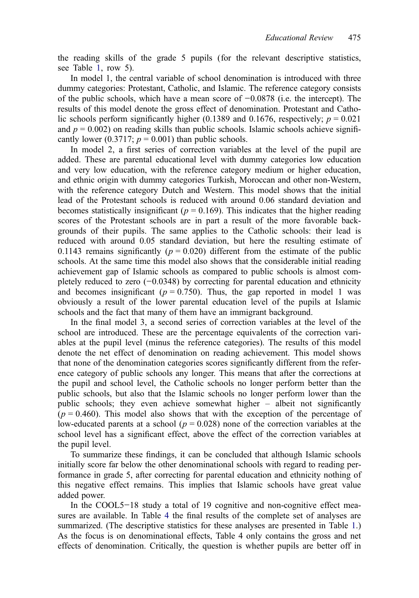the reading skills of the grade 5 pupils (for the relevant descriptive statistics, see Table [1,](#page-8-0) row 5).

In model 1, the central variable of school denomination is introduced with three dummy categories: Protestant, Catholic, and Islamic. The reference category consists of the public schools, which have a mean score of −0.0878 (i.e. the intercept). The results of this model denote the gross effect of denomination. Protestant and Catholic schools perform significantly higher (0.1389 and 0.1676, respectively;  $p = 0.021$ and  $p = 0.002$ ) on reading skills than public schools. Islamic schools achieve significantly lower (0.3717;  $p = 0.001$ ) than public schools.

In model 2, a first series of correction variables at the level of the pupil are added. These are parental educational level with dummy categories low education and very low education, with the reference category medium or higher education, and ethnic origin with dummy categories Turkish, Moroccan and other non-Western, with the reference category Dutch and Western. This model shows that the initial lead of the Protestant schools is reduced with around 0.06 standard deviation and becomes statistically insignificant ( $p = 0.169$ ). This indicates that the higher reading scores of the Protestant schools are in part a result of the more favorable backgrounds of their pupils. The same applies to the Catholic schools: their lead is reduced with around 0.05 standard deviation, but here the resulting estimate of 0.1143 remains significantly ( $p = 0.020$ ) different from the estimate of the public schools. At the same time this model also shows that the considerable initial reading achievement gap of Islamic schools as compared to public schools is almost completely reduced to zero (−0.0348) by correcting for parental education and ethnicity and becomes insignificant ( $p = 0.750$ ). Thus, the gap reported in model 1 was obviously a result of the lower parental education level of the pupils at Islamic schools and the fact that many of them have an immigrant background.

In the final model 3, a second series of correction variables at the level of the school are introduced. These are the percentage equivalents of the correction variables at the pupil level (minus the reference categories). The results of this model denote the net effect of denomination on reading achievement. This model shows that none of the denomination categories scores significantly different from the reference category of public schools any longer. This means that after the corrections at the pupil and school level, the Catholic schools no longer perform better than the public schools, but also that the Islamic schools no longer perform lower than the public schools; they even achieve somewhat higher – albeit not significantly  $(p = 0.460)$ . This model also shows that with the exception of the percentage of low-educated parents at a school ( $p = 0.028$ ) none of the correction variables at the school level has a significant effect, above the effect of the correction variables at the pupil level.

To summarize these findings, it can be concluded that although Islamic schools initially score far below the other denominational schools with regard to reading performance in grade 5, after correcting for parental education and ethnicity nothing of this negative effect remains. This implies that Islamic schools have great value added power.

In the COOL5−18 study a total of 19 cognitive and non-cognitive effect measures are available. In Table [4](#page-11-0) the final results of the complete set of analyses are summarized. (The descriptive statistics for these analyses are presented in Table [1](#page-8-0).) As the focus is on denominational effects, Table 4 only contains the gross and net effects of denomination. Critically, the question is whether pupils are better off in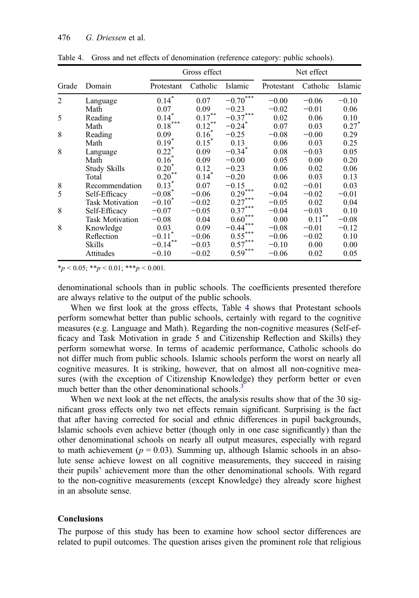#### <span id="page-11-0"></span>476 G. Driessen et al.

|       |                        | Gross effect        |                  |                      | Net effect |            |         |  |
|-------|------------------------|---------------------|------------------|----------------------|------------|------------|---------|--|
| Grade | Domain                 | Protestant          | Catholic         | Islamic              | Protestant | Catholic   | Islamic |  |
| 2     | Language               | $0.14*$             | 0.07             | $-0.70***$           | $-0.00$    | $-0.06$    | $-0.10$ |  |
|       | Math                   | 0.07                | 0.09             | $-0.23$              | $-0.02$    | $-0.01$    | 0.06    |  |
| 5     | Reading                | $0.14*$             | $0.17***$        | ***<br>$-0.37$       | 0.02       | 0.06       | 0.10    |  |
|       | Math                   | $0.18***$           | $0.12***$        | $-0.24$ <sup>*</sup> | 0.07       | 0.03       | $0.27*$ |  |
| 8     | Reading                | 0.09                | $0.16^*$         | $-0.25$              | $-0.08$    | $-0.00$    | 0.29    |  |
|       | Math                   | $0.19*$             | $0.15*$          | 0.13                 | 0.06       | 0.03       | 0.25    |  |
| 8     | Language               | $0.22$ <sup>*</sup> | 0.09             | $-0.34$ <sup>*</sup> | 0.08       | $-0.03$    | 0.05    |  |
|       | Math                   | $0.16*$             | 0.09             | $-0.00$              | 0.05       | 0.00       | 0.20    |  |
|       | Study Skills           | $0.20*$             | 0.12             | $-0.23$              | 0.06       | 0.02       | 0.06    |  |
|       | Total                  | **<br>$0.20^{1}$    | $0.14^{\degree}$ | $-0.20$              | 0.06       | 0.03       | 0.13    |  |
| 8     | Recommendation         | $0.13*$             | 0.07             | $-0.15$              | 0.02       | $-0.01$    | 0.03    |  |
| 5     | Self-Efficacy          | $-0.08*$            | $-0.06$          | $0.29***$            | $-0.04$    | $-0.02$    | $-0.01$ |  |
|       | <b>Task Motivation</b> | $-0.10*$            | $-0.02$          | $0.27***$            | $-0.05$    | 0.02       | 0.04    |  |
| 8     | Self-Efficacy          | $-0.07$             | $-0.05$          | $0.37***$            | $-0.04$    | $-0.03$    | 0.10    |  |
|       | <b>Task Motivation</b> | $-0.08$             | 0.04             | $0.60^{***}$         | 0.00       | **<br>0.11 | $-0.08$ |  |
| 8     | Knowledge              | 0.03                | 0.09             | $-0.44***$           | $-0.08$    | $-0.01$    | $-0.12$ |  |
|       | Reflection             | $-0.11$             | $-0.06$          | $0.55***$            | $-0.06$    | $-0.02$    | 0.10    |  |
|       | <b>Skills</b>          | $-0.14***$          | $-0.03$          | $0.57***$            | $-0.10$    | 0.00       | 0.00    |  |
|       | Attitudes              | $-0.10$             | $-0.02$          | $0.59***$            | $-0.06$    | 0.02       | 0.05    |  |

Table 4. Gross and net effects of denomination (reference category: public schools).

 $*_{p}$  < 0.05; \*\*p < 0.01; \*\*\*p < 0.001.

denominational schools than in public schools. The coefficients presented therefore are always relative to the output of the public schools.

When we first look at the gross effects, Table 4 shows that Protestant schools perform somewhat better than public schools, certainly with regard to the cognitive measures (e.g. Language and Math). Regarding the non-cognitive measures (Self-efficacy and Task Motivation in grade 5 and Citizenship Reflection and Skills) they perform somewhat worse. In terms of academic performance, Catholic schools do not differ much from public schools. Islamic schools perform the worst on nearly all cognitive measures. It is striking, however, that on almost all non-cognitive measures (with the exception of Citizenship Knowledge) they perform better or even much better than the other denominational schools.<sup>3</sup>

When we next look at the net effects, the analysis results show that of the 30 significant gross effects only two net effects remain significant. Surprising is the fact that after having corrected for social and ethnic differences in pupil backgrounds, Islamic schools even achieve better (though only in one case significantly) than the other denominational schools on nearly all output measures, especially with regard to math achievement ( $p = 0.03$ ). Summing up, although Islamic schools in an absolute sense achieve lowest on all cognitive measurements, they succeed in raising their pupils' achievement more than the other denominational schools. With regard to the non-cognitive measurements (except Knowledge) they already score highest in an absolute sense.

#### Conclusions

The purpose of this study has been to examine how school sector differences are related to pupil outcomes. The question arises given the prominent role that religious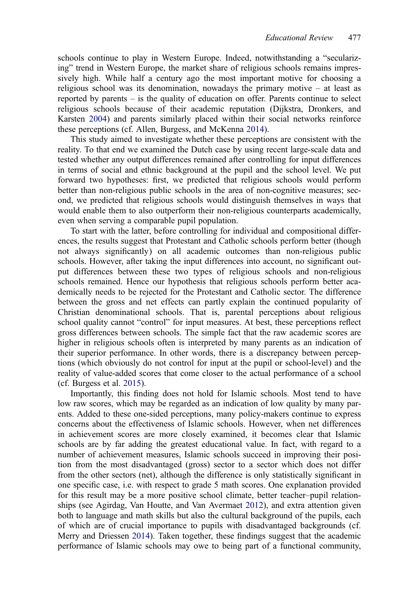schools continue to play in Western Europe. Indeed, notwithstanding a "secularizing" trend in Western Europe, the market share of religious schools remains impressively high. While half a century ago the most important motive for choosing a religious school was its denomination, nowadays the primary motive – at least as reported by parents – is the quality of education on offer. Parents continue to select religious schools because of their academic reputation (Dijkstra, Dronkers, and Karsten [2004\)](#page-14-0) and parents similarly placed within their social networks reinforce these perceptions (cf. Allen, Burgess, and McKenna [2014](#page-14-0)).

This study aimed to investigate whether these perceptions are consistent with the reality. To that end we examined the Dutch case by using recent large-scale data and tested whether any output differences remained after controlling for input differences in terms of social and ethnic background at the pupil and the school level. We put forward two hypotheses: first, we predicted that religious schools would perform better than non-religious public schools in the area of non-cognitive measures; second, we predicted that religious schools would distinguish themselves in ways that would enable them to also outperform their non-religious counterparts academically, even when serving a comparable pupil population.

To start with the latter, before controlling for individual and compositional differences, the results suggest that Protestant and Catholic schools perform better (though not always significantly) on all academic outcomes than non-religious public schools. However, after taking the input differences into account, no significant output differences between these two types of religious schools and non-religious schools remained. Hence our hypothesis that religious schools perform better academically needs to be rejected for the Protestant and Catholic sector. The difference between the gross and net effects can partly explain the continued popularity of Christian denominational schools. That is, parental perceptions about religious school quality cannot "control" for input measures. At best, these perceptions reflect gross differences between schools. The simple fact that the raw academic scores are higher in religious schools often is interpreted by many parents as an indication of their superior performance. In other words, there is a discrepancy between perceptions (which obviously do not control for input at the pupil or school-level) and the reality of value-added scores that come closer to the actual performance of a school (cf. Burgess et al. [2015](#page-14-0)).

Importantly, this finding does not hold for Islamic schools. Most tend to have low raw scores, which may be regarded as an indication of low quality by many parents. Added to these one-sided perceptions, many policy-makers continue to express concerns about the effectiveness of Islamic schools. However, when net differences in achievement scores are more closely examined, it becomes clear that Islamic schools are by far adding the greatest educational value. In fact, with regard to a number of achievement measures, Islamic schools succeed in improving their position from the most disadvantaged (gross) sector to a sector which does not differ from the other sectors (net), although the difference is only statistically significant in one specific case, i.e. with respect to grade 5 math scores. One explanation provided for this result may be a more positive school climate, better teacher–pupil relationships (see Agirdag, Van Houtte, and Van Avermaet [2012](#page-14-0)), and extra attention given both to language and math skills but also the cultural background of the pupils, each of which are of crucial importance to pupils with disadvantaged backgrounds (cf. Merry and Driessen [2014\)](#page-15-0). Taken together, these findings suggest that the academic performance of Islamic schools may owe to being part of a functional community,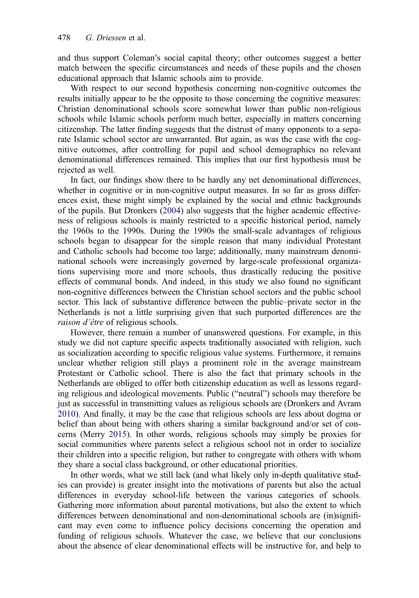and thus support Coleman's social capital theory; other outcomes suggest a better match between the specific circumstances and needs of these pupils and the chosen educational approach that Islamic schools aim to provide.

With respect to our second hypothesis concerning non-cognitive outcomes the results initially appear to be the opposite to those concerning the cognitive measures: Christian denominational schools score somewhat lower than public non-religious schools while Islamic schools perform much better, especially in matters concerning citizenship. The latter finding suggests that the distrust of many opponents to a separate Islamic school sector are unwarranted. But again, as was the case with the cognitive outcomes, after controlling for pupil and school demographics no relevant denominational differences remained. This implies that our first hypothesis must be rejected as well.

In fact, our findings show there to be hardly any net denominational differences, whether in cognitive or in non-cognitive output measures. In so far as gross differences exist, these might simply be explained by the social and ethnic backgrounds of the pupils. But Dronkers ([2004\)](#page-15-0) also suggests that the higher academic effectiveness of religious schools is mainly restricted to a specific historical period, namely the 1960s to the 1990s. During the 1990s the small-scale advantages of religious schools began to disappear for the simple reason that many individual Protestant and Catholic schools had become too large; additionally, many mainstream denominational schools were increasingly governed by large-scale professional organizations supervising more and more schools, thus drastically reducing the positive effects of communal bonds. And indeed, in this study we also found no significant non-cognitive differences between the Christian school sectors and the public school sector. This lack of substantive difference between the public–private sector in the Netherlands is not a little surprising given that such purported differences are the raison d'être of religious schools.

However, there remain a number of unanswered questions. For example, in this study we did not capture specific aspects traditionally associated with religion, such as socialization according to specific religious value systems. Furthermore, it remains unclear whether religion still plays a prominent role in the average mainstream Protestant or Catholic school. There is also the fact that primary schools in the Netherlands are obliged to offer both citizenship education as well as lessons regarding religious and ideological movements. Public ("neutral") schools may therefore be just as successful in transmitting values as religious schools are (Dronkers and Avram [2010\)](#page-15-0). And finally, it may be the case that religious schools are less about dogma or belief than about being with others sharing a similar background and/or set of concerns (Merry [2015](#page-15-0)). In other words, religious schools may simply be proxies for social communities where parents select a religious school not in order to socialize their children into a specific religion, but rather to congregate with others with whom they share a social class background, or other educational priorities.

In other words, what we still lack (and what likely only in-depth qualitative studies can provide) is greater insight into the motivations of parents but also the actual differences in everyday school-life between the various categories of schools. Gathering more information about parental motivations, but also the extent to which differences between denominational and non-denominational schools are (in)significant may even come to influence policy decisions concerning the operation and funding of religious schools. Whatever the case, we believe that our conclusions about the absence of clear denominational effects will be instructive for, and help to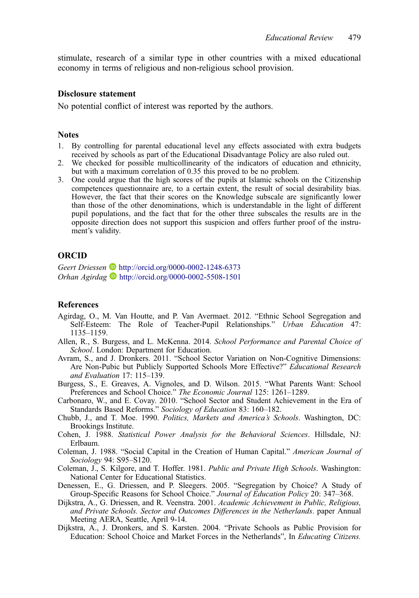<span id="page-14-0"></span>stimulate, research of a similar type in other countries with a mixed educational economy in terms of religious and non-religious school provision.

#### Disclosure statement

No potential conflict of interest was reported by the authors.

#### **Notes**

- 1. By controlling for parental educational level any effects associated with extra budgets received by schools as part of the Educational Disadvantage Policy are also ruled out.
- 2. We checked for possible multicollinearity of the indicators of education and ethnicity, but with a maximum correlation of 0.35 this proved to be no problem.
- 3. One could argue that the high scores of the pupils at Islamic schools on the Citizenship competences questionnaire are, to a certain extent, the result of social desirability bias. However, the fact that their scores on the Knowledge subscale are significantly lower than those of the other denominations, which is understandable in the light of different pupil populations, and the fact that for the other three subscales the results are in the opposite direction does not support this suspicion and offers further proof of the instrument's validity.

#### **ORCID**

Geert Driessen D <http://orcid.org/0000-0002-1248-6373> Orhan Agirdag  $\bullet$  <http://orcid.org/0000-0002-5508-1501>

#### References

- Agirdag, O., M. Van Houtte, and P. Van Avermaet. 2012. "Ethnic School Segregation and Self-Esteem: The Role of Teacher-Pupil Relationships." Urban Education 47: 1135–1159.
- Allen, R., S. Burgess, and L. McKenna. 2014. School Performance and Parental Choice of School. London: Department for Education.
- Avram, S., and J. Dronkers. 2011. "School Sector Variation on Non-Cognitive Dimensions: Are Non-Pubic but Publicly Supported Schools More Effective?" Educational Research and Evaluation 17: 115–139.
- Burgess, S., E. Greaves, A. Vignoles, and D. Wilson. 2015. "What Parents Want: School Preferences and School Choice." The Economic Journal 125: 1261–1289.
- Carbonaro, W., and E. Covay. 2010. "School Sector and Student Achievement in the Era of Standards Based Reforms." Sociology of Education 83: 160–182.
- Chubb, J., and T. Moe. 1990. Politics, Markets and America's Schools. Washington, DC: Brookings Institute.
- Cohen, J. 1988. Statistical Power Analysis for the Behavioral Sciences. Hillsdale, NJ: Erlbaum.
- Coleman, J. 1988. "Social Capital in the Creation of Human Capital." American Journal of Sociology 94: S95–S120.
- Coleman, J., S. Kilgore, and T. Hoffer. 1981. Public and Private High Schools. Washington: National Center for Educational Statistics.
- Denessen, E., G. Driessen, and P. Sleegers. 2005. "Segregation by Choice? A Study of Group-Specific Reasons for School Choice." Journal of Education Policy 20: 347-368.
- Dijkstra, A., G. Driessen, and R. Veenstra. 2001. Academic Achievement in Public, Religious, and Private Schools. Sector and Outcomes Differences in the Netherlands. paper Annual Meeting AERA, Seattle, April 9-14.
- Dijkstra, A., J. Dronkers, and S. Karsten. 2004. "Private Schools as Public Provision for Education: School Choice and Market Forces in the Netherlands", In Educating Citizens.